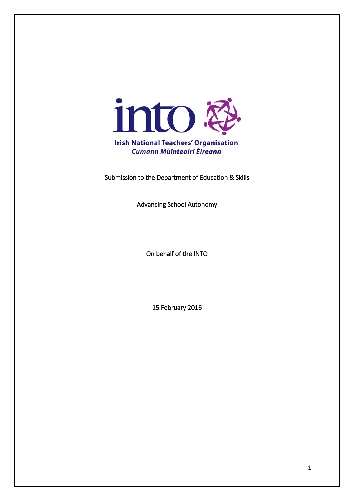

Submission to the Department of Education & Skills

Advancing School Autonomy

On behalf of the INTO

15 February 2016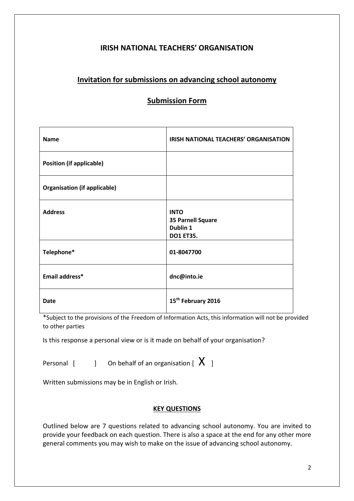# **IRISH NATIONAL TEACHERS' ORGANISATION**

# **Invitation for submissions on advancing school autonomy**

| <b>Name</b>                         | IRISH NATIONAL TEACHERS' ORGANISATION                            |
|-------------------------------------|------------------------------------------------------------------|
| <b>Position (if applicable)</b>     |                                                                  |
| <b>Organisation (if applicable)</b> |                                                                  |
| <b>Address</b>                      | <b>INTO</b><br>35 Parnell Square<br>Dublin 1<br><b>DO1 ET35.</b> |
| Telephone*                          | 01-8047700                                                       |
| Email address*                      | dnc@into.ie                                                      |
| <b>Date</b>                         | 15 <sup>th</sup> February 2016                                   |

# **Submission Form**

\*Subject to the provisions of the Freedom of Information Acts, this information will not be provided to other parties

Is this response a personal view or is it made on behalf of your organisation?

Personal  $\begin{bmatrix} 1 & 1 \end{bmatrix}$  On behalf of an organisation  $\begin{bmatrix} X \end{bmatrix}$ 

Written submissions may be in English or Irish.

## **KEY QUESTIONS**

Outlined below are 7 questions related to advancing school autonomy. You are invited to provide your feedback on each question. There is also a space at the end for any other more general comments you may wish to make on the issue of advancing school autonomy.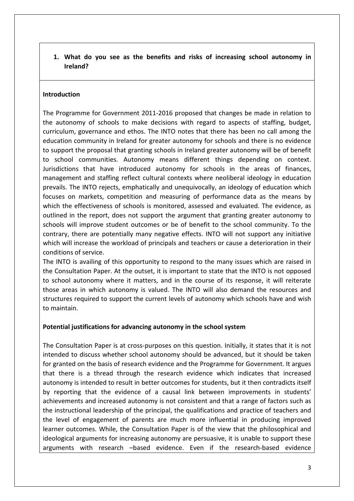**1. What do you see as the benefits and risks of increasing school autonomy in Ireland?**

## **Introduction**

The Programme for Government 2011-2016 proposed that changes be made in relation to the autonomy of schools to make decisions with regard to aspects of staffing, budget, curriculum, governance and ethos. The INTO notes that there has been no call among the education community in Ireland for greater autonomy for schools and there is no evidence to support the proposal that granting schools in Ireland greater autonomy will be of benefit to school communities. Autonomy means different things depending on context. Jurisdictions that have introduced autonomy for schools in the areas of finances, management and staffing reflect cultural contexts where neoliberal ideology in education prevails. The INTO rejects, emphatically and unequivocally, an ideology of education which focuses on markets, competition and measuring of performance data as the means by which the effectiveness of schools is monitored, assessed and evaluated. The evidence, as outlined in the report, does not support the argument that granting greater autonomy to schools will improve student outcomes or be of benefit to the school community. To the contrary, there are potentially many negative effects. INTO will not support any initiative which will increase the workload of principals and teachers or cause a deterioration in their conditions of service.

The INTO is availing of this opportunity to respond to the many issues which are raised in the Consultation Paper. At the outset, it is important to state that the INTO is not opposed to school autonomy where it matters, and in the course of its response, it will reiterate those areas in which autonomy is valued. The INTO will also demand the resources and structures required to support the current levels of autonomy which schools have and wish to maintain.

#### **Potential justifications for advancing autonomy in the school system**

The Consultation Paper is at cross-purposes on this question. Initially, it states that it is not intended to discuss whether school autonomy should be advanced, but it should be taken for granted on the basis of research evidence and the Programme for Government. It argues that there is a thread through the research evidence which indicates that increased autonomy is intended to result in better outcomes for students, but it then contradicts itself by reporting that the evidence of a causal link between improvements in students' achievements and increased autonomy is not consistent and that a range of factors such as the instructional leadership of the principal, the qualifications and practice of teachers and the level of engagement of parents are much more influential in producing improved learner outcomes. While, the Consultation Paper is of the view that the philosophical and ideological arguments for increasing autonomy are persuasive, it is unable to support these arguments with research –based evidence. Even if the research-based evidence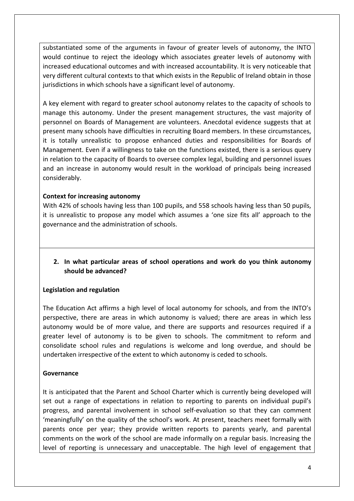substantiated some of the arguments in favour of greater levels of autonomy, the INTO would continue to reject the ideology which associates greater levels of autonomy with increased educational outcomes and with increased accountability. It is very noticeable that very different cultural contexts to that which exists in the Republic of Ireland obtain in those jurisdictions in which schools have a significant level of autonomy.

A key element with regard to greater school autonomy relates to the capacity of schools to manage this autonomy. Under the present management structures, the vast majority of personnel on Boards of Management are volunteers. Anecdotal evidence suggests that at present many schools have difficulties in recruiting Board members. In these circumstances, it is totally unrealistic to propose enhanced duties and responsibilities for Boards of Management. Even if a willingness to take on the functions existed, there is a serious query in relation to the capacity of Boards to oversee complex legal, building and personnel issues and an increase in autonomy would result in the workload of principals being increased considerably.

## **Context for increasing autonomy**

With 42% of schools having less than 100 pupils, and 558 schools having less than 50 pupils, it is unrealistic to propose any model which assumes a 'one size fits all' approach to the governance and the administration of schools.

# **2. In what particular areas of school operations and work do you think autonomy should be advanced?**

#### **Legislation and regulation**

The Education Act affirms a high level of local autonomy for schools, and from the INTO's perspective, there are areas in which autonomy is valued; there are areas in which less autonomy would be of more value, and there are supports and resources required if a greater level of autonomy is to be given to schools. The commitment to reform and consolidate school rules and regulations is welcome and long overdue, and should be undertaken irrespective of the extent to which autonomy is ceded to schools.

#### **Governance**

It is anticipated that the Parent and School Charter which is currently being developed will set out a range of expectations in relation to reporting to parents on individual pupil's progress, and parental involvement in school self-evaluation so that they can comment 'meaningfully' on the quality of the school's work. At present, teachers meet formally with parents once per year; they provide written reports to parents yearly, and parental comments on the work of the school are made informally on a regular basis. Increasing the level of reporting is unnecessary and unacceptable. The high level of engagement that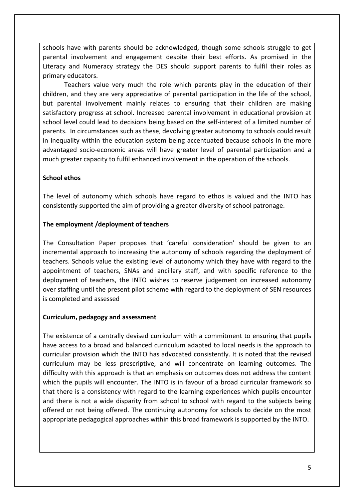schools have with parents should be acknowledged, though some schools struggle to get parental involvement and engagement despite their best efforts. As promised in the Literacy and Numeracy strategy the DES should support parents to fulfil their roles as primary educators.

Teachers value very much the role which parents play in the education of their children, and they are very appreciative of parental participation in the life of the school, but parental involvement mainly relates to ensuring that their children are making satisfactory progress at school. Increased parental involvement in educational provision at school level could lead to decisions being based on the self-interest of a limited number of parents. In circumstances such as these, devolving greater autonomy to schools could result in inequality within the education system being accentuated because schools in the more advantaged socio-economic areas will have greater level of parental participation and a much greater capacity to fulfil enhanced involvement in the operation of the schools.

## **School ethos**

The level of autonomy which schools have regard to ethos is valued and the INTO has consistently supported the aim of providing a greater diversity of school patronage.

## **The employment /deployment of teachers**

The Consultation Paper proposes that 'careful consideration' should be given to an incremental approach to increasing the autonomy of schools regarding the deployment of teachers. Schools value the existing level of autonomy which they have with regard to the appointment of teachers, SNAs and ancillary staff, and with specific reference to the deployment of teachers, the INTO wishes to reserve judgement on increased autonomy over staffing until the present pilot scheme with regard to the deployment of SEN resources is completed and assessed

#### **Curriculum, pedagogy and assessment**

The existence of a centrally devised curriculum with a commitment to ensuring that pupils have access to a broad and balanced curriculum adapted to local needs is the approach to curricular provision which the INTO has advocated consistently. It is noted that the revised curriculum may be less prescriptive, and will concentrate on learning outcomes. The difficulty with this approach is that an emphasis on outcomes does not address the content which the pupils will encounter. The INTO is in favour of a broad curricular framework so that there is a consistency with regard to the learning experiences which pupils encounter and there is not a wide disparity from school to school with regard to the subjects being offered or not being offered. The continuing autonomy for schools to decide on the most appropriate pedagogical approaches within this broad framework is supported by the INTO.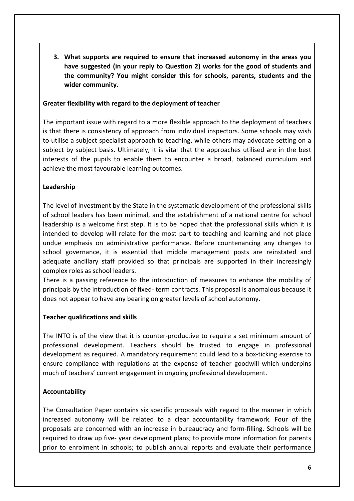**3. What supports are required to ensure that increased autonomy in the areas you have suggested (in your reply to Question 2) works for the good of students and the community? You might consider this for schools, parents, students and the wider community.**

## **Greater flexibility with regard to the deployment of teacher**

The important issue with regard to a more flexible approach to the deployment of teachers is that there is consistency of approach from individual inspectors. Some schools may wish to utilise a subject specialist approach to teaching, while others may advocate setting on a subject by subject basis. Ultimately, it is vital that the approaches utilised are in the best interests of the pupils to enable them to encounter a broad, balanced curriculum and achieve the most favourable learning outcomes.

## **Leadership**

The level of investment by the State in the systematic development of the professional skills of school leaders has been minimal, and the establishment of a national centre for school leadership is a welcome first step. It is to be hoped that the professional skills which it is intended to develop will relate for the most part to teaching and learning and not place undue emphasis on administrative performance. Before countenancing any changes to school governance, it is essential that middle management posts are reinstated and adequate ancillary staff provided so that principals are supported in their increasingly complex roles as school leaders.

There is a passing reference to the introduction of measures to enhance the mobility of principals by the introduction of fixed- term contracts. This proposal is anomalous because it does not appear to have any bearing on greater levels of school autonomy.

#### **Teacher qualifications and skills**

The INTO is of the view that it is counter-productive to require a set minimum amount of professional development. Teachers should be trusted to engage in professional development as required. A mandatory requirement could lead to a box-ticking exercise to ensure compliance with regulations at the expense of teacher goodwill which underpins much of teachers' current engagement in ongoing professional development.

## **Accountability**

The Consultation Paper contains six specific proposals with regard to the manner in which increased autonomy will be related to a clear accountability framework. Four of the proposals are concerned with an increase in bureaucracy and form-filling. Schools will be required to draw up five- year development plans; to provide more information for parents prior to enrolment in schools; to publish annual reports and evaluate their performance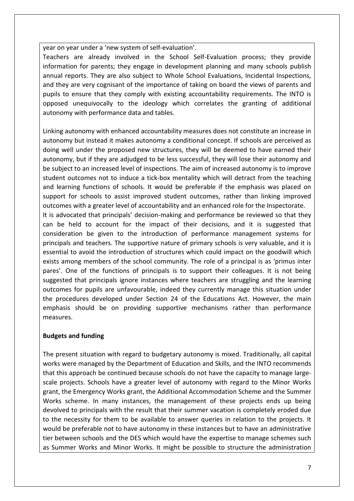year on year under a 'new system of self-evaluation'.

Teachers are already involved in the School Self-Evaluation process; they provide information for parents; they engage in development planning and many schools publish annual reports. They are also subject to Whole School Evaluations, Incidental Inspections, and they are very cognisant of the importance of taking on board the views of parents and pupils to ensure that they comply with existing accountability requirements. The INTO is opposed unequivocally to the ideology which correlates the granting of additional autonomy with performance data and tables.

Linking autonomy with enhanced accountability measures does not constitute an increase in autonomy but instead it makes autonomy a conditional concept. If schools are perceived as doing well under the proposed new structures, they will be deemed to have earned their autonomy, but if they are adjudged to be less successful, they will lose their autonomy and be subject to an increased level of inspections. The aim of increased autonomy is to improve student outcomes not to induce a tick-box mentality which will detract from the teaching and learning functions of schools. It would be preferable if the emphasis was placed on support for schools to assist improved student outcomes, rather than linking improved outcomes with a greater level of accountability and an enhanced role for the Inspectorate.

It is advocated that principals' decision-making and performance be reviewed so that they can be held to account for the impact of their decisions, and it is suggested that consideration be given to the introduction of performance management systems for principals and teachers. The supportive nature of primary schools is very valuable, and it is essential to avoid the introduction of structures which could impact on the goodwill which exists among members of the school community. The role of a principal is as 'primus inter pares'. One of the functions of principals is to support their colleagues. It is not being suggested that principals ignore instances where teachers are struggling and the learning outcomes for pupils are unfavourable, indeed they currently manage this situation under the procedures developed under Section 24 of the Educations Act. However, the main emphasis should be on providing supportive mechanisms rather than performance measures.

## **Budgets and funding**

The present situation with regard to budgetary autonomy is mixed. Traditionally, all capital works were managed by the Department of Education and Skills, and the INTO recommends that this approach be continued because schools do not have the capacity to manage largescale projects. Schools have a greater level of autonomy with regard to the Minor Works grant, the Emergency Works grant, the Additional Accommodation Scheme and the Summer Works scheme. In many instances, the management of these projects ends up being devolved to principals with the result that their summer vacation is completely eroded due to the necessity for them to be available to answer queries in relation to the projects. It would be preferable not to have autonomy in these instances but to have an administrative tier between schools and the DES which would have the expertise to manage schemes such as Summer Works and Minor Works. It might be possible to structure the administration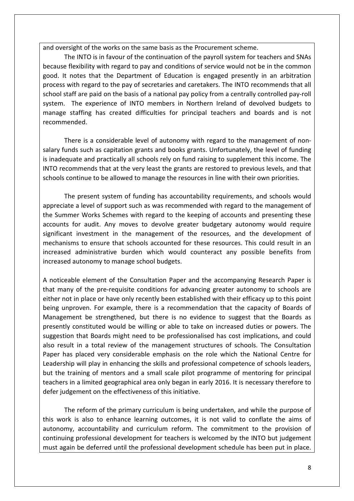and oversight of the works on the same basis as the Procurement scheme.

The INTO is in favour of the continuation of the payroll system for teachers and SNAs because flexibility with regard to pay and conditions of service would not be in the common good. It notes that the Department of Education is engaged presently in an arbitration process with regard to the pay of secretaries and caretakers. The INTO recommends that all school staff are paid on the basis of a national pay policy from a centrally controlled pay-roll system. The experience of INTO members in Northern Ireland of devolved budgets to manage staffing has created difficulties for principal teachers and boards and is not recommended.

There is a considerable level of autonomy with regard to the management of nonsalary funds such as capitation grants and books grants. Unfortunately, the level of funding is inadequate and practically all schools rely on fund raising to supplement this income. The INTO recommends that at the very least the grants are restored to previous levels, and that schools continue to be allowed to manage the resources in line with their own priorities.

The present system of funding has accountability requirements, and schools would appreciate a level of support such as was recommended with regard to the management of the Summer Works Schemes with regard to the keeping of accounts and presenting these accounts for audit. Any moves to devolve greater budgetary autonomy would require significant investment in the management of the resources, and the development of mechanisms to ensure that schools accounted for these resources. This could result in an increased administrative burden which would counteract any possible benefits from increased autonomy to manage school budgets.

A noticeable element of the Consultation Paper and the accompanying Research Paper is that many of the pre-requisite conditions for advancing greater autonomy to schools are either not in place or have only recently been established with their efficacy up to this point being unproven. For example, there is a recommendation that the capacity of Boards of Management be strengthened, but there is no evidence to suggest that the Boards as presently constituted would be willing or able to take on increased duties or powers. The suggestion that Boards might need to be professionalised has cost implications, and could also result in a total review of the management structures of schools. The Consultation Paper has placed very considerable emphasis on the role which the National Centre for Leadership will play in enhancing the skills and professional competence of schools leaders, but the training of mentors and a small scale pilot programme of mentoring for principal teachers in a limited geographical area only began in early 2016. It is necessary therefore to defer judgement on the effectiveness of this initiative.

The reform of the primary curriculum is being undertaken, and while the purpose of this work is also to enhance learning outcomes, it is not valid to conflate the aims of autonomy, accountability and curriculum reform. The commitment to the provision of continuing professional development for teachers is welcomed by the INTO but judgement must again be deferred until the professional development schedule has been put in place.